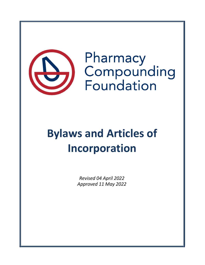

Pharmacy Compounding Foundation

# **Bylaws and Articles of Incorporation**

*Revised 04 April 2022 Approved 11 May 2022*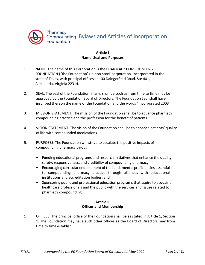

### **Article I Name, Seal and Purposes**

- 1. NAME. The name of this Corporation is the PHARMACY COMPOUNDING FOUNDATION ("the Foundation"), a non-stock corporation, incorporated in the state of Texas, with principal offices at 100 Daingerfield Road, Ste 401, Alexandria, Virginia 22314.
- 2. SEAL. The seal of the Foundation, if any, shall be such as from time to time may be approved by the Foundation Board of Directors. The Foundation Seal shall have inscribed thereon the name of the Foundation and the words "Incorporated 2003".
- 3. MISSION STATEMENT. The mission of the Foundation shall be to advance pharmacy compounding practice and the profession for the benefit of patients.
- 4. VISION STATEMENT. The vision of the Foundation shall be to enhance patients' quality of life with compounded medications.
- 5. PURPOSES. The Foundation will strive to escalate the positive impacts of compounding pharmacy through:
	- Funding educational programs and research initiatives that enhance the quality, safety, responsiveness, and credibility of compounding pharmacy;
	- Encouraging curricular endorsement of the fundamental proficiencies essential to compounding pharmacy practice through alliances with educational institutions and accreditation bodies; and
	- Sponsoring public and professional education programs that aspire to acquaint healthcare professionals and the public with the services and issues related to pharmacy compounding.

#### **Article II Offices and Membership**

1. OFFICES. The principal office of the Foundation shall be as stated in Article 1, Section 1. The Foundation may have such other offices as the Board of Directors may from time to time establish.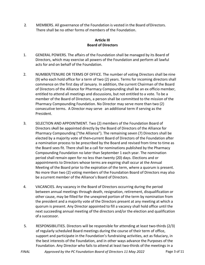2. MEMBERS. All governance of the Foundation is vested in the Board ofDirectors. There shall be no other forms of members of the Foundation.

## **Article III Board of Directors**

- 1. GENERAL POWERS. The affairs of the Foundation shall be managed by its Board of Directors, which may exercise all powers of the Foundation and perform all lawful acts for and on behalf of the Foundation.
- 2. NUMBER/TENURE OR TERMS OF OFFICE. The number of voting Directors shall be nine (9) who each hold office for a term of two (2) years. Terms for incoming directors shall commence on the first day of January. In addition, the current Chairman of the Board of Directors of the Alliance for Pharmacy Compounding shall be an ex officio member, entitled to attend all meetings and discussions, but not entitled to a vote. To be a member of the Board of Directors, a person shall be committed to the mission of the Pharmacy Compounding Foundation. No Director may serve more than two (2) consecutive terms. A Director may serve an additional term if serving as the President.
- 3. SELECTION AND APPOINTMENT. Two (2) members of the Foundation Board of Directors shall be appointed directly by the Board of Directors of the Alliance for Pharmacy Compounding ("the Alliance"). The remaining seven (7) Directors shall be elected by a majority vote of then-current Board of Directors of the Foundation after a nomination process to be prescribed by the Board and revised from time to time as the Board sees fit. There shall be a call for nominations published by the Pharmacy Compounding Foundation no later than September 1 each year. The nomination period shall remain open for no less than twenty (20) days. Elections and or appointments to Directors whose terms are expiring shall occur at the Annual Meeting of the Board prior to the expiration of the term, where a quorum is present. No more than two (2) voting members of the Foundation Board of Directors may also be a current member of the Alliance's Board of Directors.
- 4. VACANCIES. Any vacancy in the Board of Directors occurring during the period between annual meetings through death, resignation, retirement, disqualification or other cause, may be filled for the unexpired portion of the term by nomination from the president and a majority vote of the Directors present at any meeting at which a quorum is present. Any Director appointed to fill a vacancy shall hold office until the next succeeding annual meeting of the directors and/or the election and qualification of a successor.
- 5. RESPONSIBILITIES. Directors will be responsible for attending at least two-thirds (2/3) of regularly scheduled Board meetings during the course of their term of office, support and participate in the Foundation's fundraising activities, act as fiduciary, in the best interests of the Foundation, and in other ways advance the Purposes of the Foundation. Any Director who fails to attend at least two-thirds of the meetings in a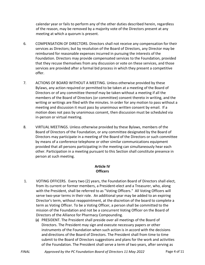calendar year or fails to perform any of the other duties described herein, regardless of the reason, may be removed by a majority vote of the Directors present at any meeting at which a quorum is present.

- 6. COMPENSATION OF DIRECTORS. Directors shall not receive any compensation for their services as Directors; but by resolution of the Board of Directors, any Director may be reimbursed for reasonable expenses incurred in pursuing the interests of the Foundation. Directors may provide compensated services to the Foundation, provided that they recuse themselves from any discussion or vote on these services, and those services are provided after a formal bid process in which they present a competitive offer.
- 7. ACTIONS OF BOARD WITHOUT A MEETING. Unless otherwise provided by these Bylaws, any action required or permitted to be taken at a meeting of the Board of Directors or of any committee thereof may be taken without a meeting if all the members of the Board of Directors (or committee) consent thereto in writing, and the writing or writings are filed with the minutes. In order for any motion to pass without a meeting and discussion it must pass by unanimous written consent by email. If a motion does not pass by unanimous consent, then discussion must be scheduled via in-person or virtual meeting.
- 8. VIRTUAL MEETINGS. Unless otherwise provided by these Bylaws, members of the Board of Directors of the Foundation, or any committee designated by the Board of Directors may participate in a meeting of the Board of the Directors or such committee by means of a conference telephone or other similar communications equipment provided that all persons participating in the meeting can simultaneously hear each other. Participation in a meeting pursuant to this Section shall constitute presence in person at such meeting.

## **Article IV Officers**

- 1. VOTING OFFICERS. Every two (2) years, the Foundation Board of Directors shall elect, from its current or former members, a President-elect and a Treasurer, who, along with the President, shall be referred to as "Voting Officers." All Voting Officers will serve two-year terms in their role. An additional year may be added to an expiring Director's term, without reappointment, at the discretion of the board to complete a term as Voting Officer. To be a Voting Officer, a person shall be committed to the mission of the Foundation and not be a concurrent Voting Officer on the Board of Directors of the Alliance for Pharmacy Compounding.
	- (a) PRESIDENT. The President shall preside over all meetings of the Board of Directors. The President may sign and execute necessary papers or other instruments of the Foundation when such action is in accord with the decisions and directions of the Board of Directors. The President shall from time to time submit to the Board of Directors suggestions and plans for the work and activities of the Foundation. The President shall serve a term of two years, after serving as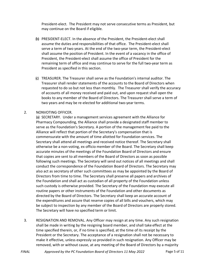President-elect. The President may not serve consecutive terms as President, but may continue on the Board if eligible.

- (b) PRESIDENT-ELECT. In the absence of the President, the President-elect shall assume the duties and responsibilities of that office. The President-elect shall serve a term of two years. At the end of the two-year term, the President-elect shall assume the position of President. In the event of a vacancy in the office of President, the President-elect shall assume the office of President for the remaining term of office and may continue to serve for the full two-year term as President as specified in this section.
- (c) TREASURER. The Treasurer shall serve as the Foundation's internal auditor. The Treasurer shall render statements of the accounts to the Board of Directors when requested to do so but not less than monthly. The Treasurer shall verify the accuracy of accounts of all money received and paid out, and upon request shall open the books to any member of the Board of Directors. The Treasurer shall serve a term of two years and may be re-elected for additional two-year terms.

#### 2. NONVOTING OFFICER.

(a) SECRETARY. Under a management services agreement with the Alliance for Pharmacy Compounding, the Alliance shall provide a designated staff member to serve as the Foundation's Secretary. A portion of the management fee paid to the Alliance will reflect that portion of the Secretary's compensation that is commensurate with the amount of time allotted for Foundation services. The Secretary shall attend all meetings and received notice thereof. The Secretary shall otherwise be a non-voting, ex officio member of the Board. The Secretary shall keep accurate minutes of the meetings of the Foundation Board of Directors and ensure that copies are sent to all members of the Board of Directors as soon as possible following such meetings. The Secretary will send out notices of all meetings and shall conduct the correspondence of the Foundation Board of Directors. The Secretary may also act as secretary of other such committees as may be appointed by the Board of Directors from time to time. The Secretary shall preserve all papers and archives of the Foundation and shall act as custodian of all property of the Foundation unless such custody is otherwise provided. The Secretary of the Foundation may execute all routine papers or other instruments of the Foundation and other documents as directed by the Board of Directors. The Secretary shall keep an accurate account of the expenditures and assure that reserve copies of all bills and vouchers, which may be subject to inspection by any member of the Board of Directors are properly stored. The Secretary will have no specified term or limit.

3. RESIGNATION AND REMOVAL. Any Officer may resign at any time. Any such resignation shall be made in writing by the resigning board member, and shall take effect at the time specified therein, or, if no time is specified, at the time of its receipt by the President or the Secretary. The acceptance of a resignation shall not be necessary to make it effective, unless expressly so provided in such resignation. Any Officer may be removed, with or without cause, at any meeting of the Board of Directors by a majority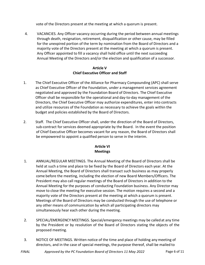vote of the Directors present at the meeting at which a quorum is present.

4. VACANCIES. Any Officer vacancy occurring during the period between annual meetings through death, resignation, retirement, disqualification or other cause, may be filled for the unexpired portion of the term by nomination from the Board of Directors and a majority vote of the Directors present at the meeting at which a quorum is present. Any Officer appointed to fill a vacancy shall hold office until the next succeeding Annual Meeting of the Directors and/or the election and qualification of a successor.

### **Article V Chief Executive Officer and Staff**

- 1. The Chief Executive Officer of the Alliance for Pharmacy Compounding (APC) shall serve as Chief Executive Officer of the Foundation, under a management services agreement negotiated and approved by the Foundation Board of Directors. The Chief Executive Officer shall be responsible for the operational and day-to-day management of the Directors, the Chief Executive Officer may authorize expenditures, enter into contracts and utilize resources of the Foundation as necessary to achieve the goals within the budget and policies established by the Board of Directors.
- 2. Staff. The Chief Executive Officer shall, under the direction of the Board of Directors, sub-contract for services deemed appropriate by the Board. In the event the position of Chief Executive Officer becomes vacant for any reason, the Board of Directors shall be empowered to appoint a qualified person to serve in the interim.

## **Article VI Meetings**

- 1. ANNUAL/REGULAR MEETINGS. The Annual Meeting of the Board of Directors shall be held at such a time and place to be fixed by the Board of Directors each year. At the Annual Meeting, the Board of Directors shall transact such business as may properly come before the meeting, including the election of new Board Members/Officers. The President may also call regular meetings of the Board of Directors in addition to the Annual Meeting for the purposes of conducting Foundation business. Any Director may move to close the meeting for executive session. The motion requires a second and a majority vote of the Directors present at the meeting at which a quorum is present. Meetings of the Board of Directors may be conducted through the use of telephone or any other means of communication by which all participating directors may simultaneously hear each other during the meeting.
- 2. SPECIAL/EMERGENCY MEETINGS. Special/emergency meetings may be calledat any time by the President or by resolution of the Board of Directors stating the objects of the proposed meeting.
- 3. NOTICE OF MEETINGS. Written notice of the time and place of holding any meeting of directors, and in the case of special meetings, the purpose thereof, shall be mailed to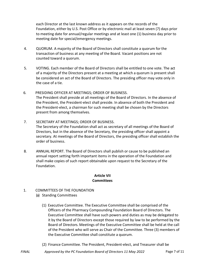each Director at the last known address as it appears on the records of the Foundation, either by U.S. Post Office or by electronic mail at least seven (7) days prior to meeting date for annual/regular meetings and at least one (1) business day prior to meeting date for special/emergency meetings.

- 4. QUORUM. A majority of the Board of Directors shall constitute a quorum forthe transaction of business at any meeting of the Board. Vacant positions are not counted toward a quorum.
- 5. VOTING. Each member of the Board of Directors shall be entitled to one vote. The act of a majority of the Directors present at a meeting at which a quorum is present shall be considered an act of the Board of Directors. The presiding officer may vote only in the case of a tie.
- 6. PRESIDING OFFICER AT MEETINGS; ORDER OF BUSINESS. The President shall preside at all meetings of the Board of Directors. In the absence of the President, the President-elect shall preside. In absence of both the President and the President-elect, a chairman for such meeting shall be chosen by the Directors present from among themselves.
- 7. SECRETARY AT MEETINGS; ORDER OF BUSINESS. The Secretary of the Foundation shall act as secretary of all meetings of the Board of Directors, but in the absence of the Secretary, the presiding officer shall appoint a secretary. At meetings of the Board of Directors, the presiding officer shall establish the order of business.
- 8. ANNUAL REPORT. The Board of Directors shall publish or cause to be published an annual report setting forth important items in the operation of the Foundation and shall make copies of such report obtainable upon request to the Secretary of the Foundation.

#### **Article VII Committees**

- 1. COMMITTEES OF THE FOUNDATION
	- (a) Standing Committees
		- (1) Executive Committee. The Executive Committee shall be comprised of the Officers of the Pharmacy Compounding Foundation Board of Directors. The Executive Committee shall have such powers and duties as may be delegated to it by the Board of Directors except those required by law to be performed by the Board of Directors. Meetings of the Executive Committee shall be held at the call of the President who will serve as Chair of the Committee. Three (3) members of the Executive Committee shall constitute a quorum.
		- (2) Finance Committee. The President, President-elect, and Treasurer shall be
- *FINAL Approved by the PC Foundation Board of Directors 11 May 2022* Page 7 of 11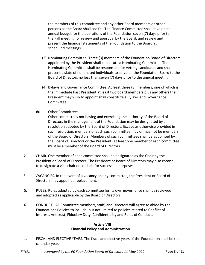the members of this committee and any other Board members or other persons as the Board shall see fit. The Finance Committee shall develop an annual budget for the operations of the Foundation seven (7) days prior to the Fall meeting for review and approval by the Board, and review and present the financial statements of the Foundation to the Board at scheduled meetings.

- (3) Nominating Committee. Three (3) members of the Foundation Board of Directors appointed by the President shall constitute a Nominating Committee. The Nominating Committee shall be responsible for vetting candidates and shall present a slate of nominated individuals to serve on the Foundation Board to the Board of Directors no less than seven (7) days prior to the annual meeting.
- (4) Bylaws and Governance Committee. At least three (3) members, one of which is the immediate Past President at least two board members plus any others the President may wish to appoint shall constitute a Bylaws and Governance Committee.
- (b) Other Committees.

Other committees not having and exercising the authority of the Board of Directors in the management of the Foundation may be designated by a resolution adopted by the Board of Directors. Except as otherwise provided in such resolution, members of each such committee may or may not be members of the Board of Directors. Members of such committees shall be appointed by the Board of Directors or the President. At least one member of each committee must be a member of the Board of Directors.

- 2. CHAIR. One member of each committee shall be designated as the Chair by the President or Board of Directors. The President or Board of Directors may also choose to designate a vice chair or co-chair for succession purposes.
- 3. VACANCIES. In the event of a vacancy on any committee, the President or Board of Directors may appoint a replacement.
- 5. RULES. Rules adopted by each committee for its own governance shall bereviewed and adopted as applicable by the Board of Directors.
- 6. CONDUCT. All Committee members, staff, and Directors will agree to abide by the Foundations Policies to include, but not limited to policies related to Conflict of Interest, Antitrust, Fiduciary Duty, Confidentiality and Rules of Conduct.

#### **Article VIII Financial Policy and Administration**

1. FISCAL AND ELECTIVE YEARS. The fiscal and elective years of the Foundation shall be the calendar year.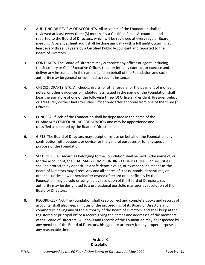- 2. AUDITING OR REVIEW OF ACCOUNTS. All accounts of the Foundation shall be reviewed at least every three (3) months by a Certified Public Accountant and reported to the Board of Directors, which will be reviewed at every regular Board meeting. A balance sheet audit shall be done annually with a full audit occurring at least every three (3) years by a Certified Public Accountant and reported to the Board of Directors.
- 3. CONTRACTS. The Board of Directors may authorize any officer or agent, including the Secretary or Chief Executive Officer, to enter into any contract or execute and deliver any instrument in the name of and on behalf of the Foundation and such authority may be general or confined to specific instances.
- 4. CHECKS, DRAFTS, ETC. All checks, drafts, or other orders for the payment of money, notes, or other evidences of indebtedness issued in the name of the Foundation shall bear the signature of one of the following three (3) Officers: President, President-elect or Treasurer, or the Chief Executive Officer only after approval from one of the three (3) Officers.
- 5. FUNDS. All funds of the Foundation shall be deposited in the name of the PHARMACY COMPOUNDING FOUNDATION and may be apportioned and classified as directed by the Board of Directors.
- 6. GIFTS. The Board of Directors may accept or refuse on behalf of the Foundation any contribution, gift, bequest, or device for the general purposes or for any special purpose of the Foundation.
- 7. SECURITIES. All securities belonging to the Foundation shall be held in the name of, or for the account of, the PHARMACY COMPOUNDING FOUNDATION. Such securities shall be protected by deposit, in a safe deposit vault, or by other such means as the Board of Directors may direct. Any and all shares of stocks, bonds, debentures, or other securities now or hereinafter owned of record or beneficially by the Foundation may be sold or assigned by resolution of the Board of Directors, such authority may be designated to a professional portfolio manager by resolution of the Board of Directors.
- 8. RECORDKEEPING. The Foundation shall keep correct and complete books and records of accounts, shall also keep minutes of the proceedings of its Board of Directors and committees having any of the authority of the Board of Directors, and shall keep at the registered or principal office a record giving the names and addresses of the members of the Board of Directors. All books and records of the Foundation may be inspected by any member of the Board of Directors, his agent or attorney for any proper purpose at any reasonable time.

## **Article IX Dissolution**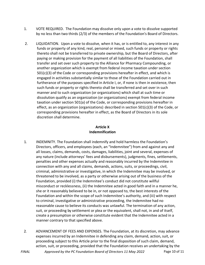- 1. VOTE REQUIRED. The Foundation may dissolve only upon a vote to dissolve supported by no less than two thirds (2/3) of the members of the Foundation's Board of Directors.
- 2. LIQUIDATION. Upon a vote to dissolve, when it has, or is entitled to, any interest in any funds or property of any kind, real, personal or mixed, such funds or property or rights thereto shall not be transferred to private ownership, but the Board of Directors, after paying or making provision for the payment of all liabilities of the Foundation, shall transfer and set over such property to the Alliance for Pharmacy Compounding, or another organization which is exempt from federal income taxation under section  $501(c)(3)$  of the Code or corresponding provisions hereafter in effect, and which is engaged in activities substantially similar to those of the Foundation carried out in furtherance of the purposes specified in Article I, or, if none is then in existence, then such funds or property or rights thereto shall be transferred and set over in such manner and to such organization (or organizations) which shall at such time or dissolution qualify as an organization (or organizations) exempt from federal income taxation under section 501(a) of the Code, or corresponding provisions hereafter in effect, as an organization (organizations) described in section 501(c)(3) of the Code, or corresponding provisions hereafter in effect, as the Board of Directors in its sole discretion shall determine.

## **Article X Indemnification**

- 1. INDEMNITY. The Foundation shall indemnify and hold harmless the Foundation's Directors, officers, and employees (each, an "Indemnitee") from and against any and all losses, claims, demands, costs, damages, liabilities, joint and several, expenses of any nature (include attorneys' fees and disbursements), judgments, fines, settlements, penalties and other expenses actually and reasonably incurred by the Indemnitee in connection with any and all claims, demands, actions, suits, or proceedings, civil, criminal, administrative or investigative, in which the Indemnitee may be involved, or threatened to be involved, as a party or otherwise arising out of the business of the Foundation, provided (i) the Indemnitee's conduct did not constitute willful misconduct or recklessness, (ii) the Indemnitee acted in good faith and in a manner he, she or it reasonably believed to be in, or not opposed to, the best interests of the Foundation and within the scope of such Indemnitee's authority, and (iii) with respect to criminal, investigative or administrative proceeding, the Indemnitee had no reasonable cause to believe its conducts was unlawful. The termination of any action, suit, or proceeding by settlement or plea or the equivalent, shall not, in and of itself, create a presumption or otherwise constitute evident that the Indemnitee acted in a manner contrary to that specified above.
- 2. ADVANCEMENT OF FEES AND EXPENSES. The Foundation, at its discretion, may advance expenses incurred by an Indemnitee in defending any claim, demand, action, suit, or proceeding subject to this Article prior to the final disposition of such claim, demand, action, suit, or proceeding, provided that the Foundation receives an undertaking by the